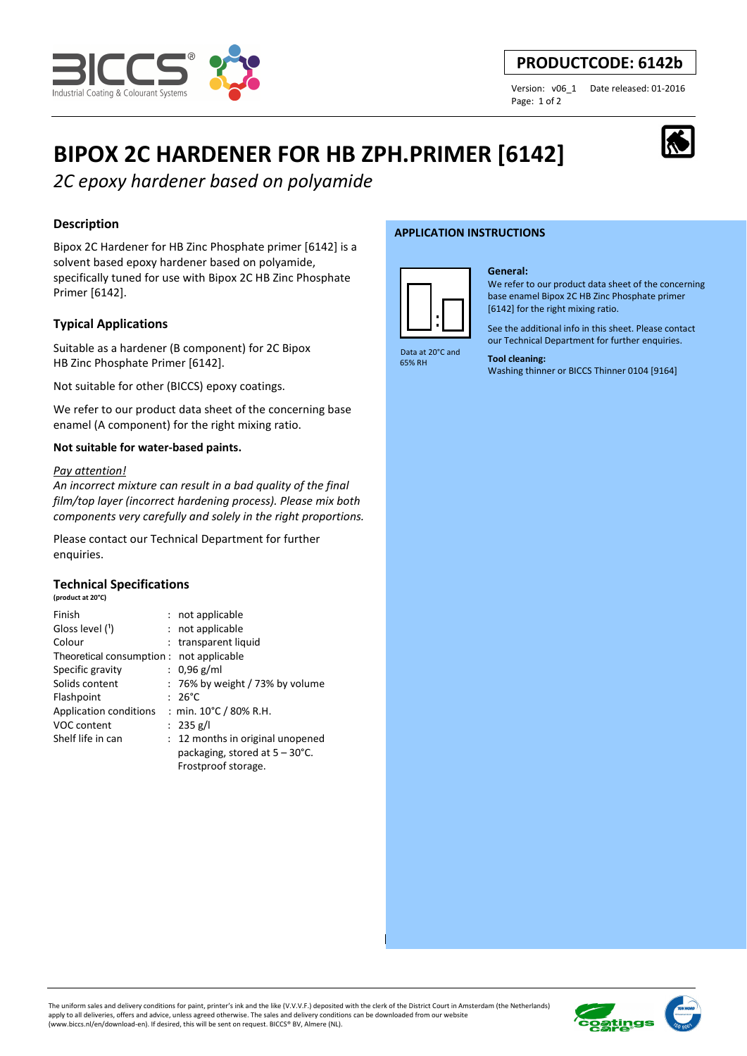

# **PRODUCTCODE: 6142b**

Page: 1 of 2

Version: v06\_1 Date released: 01-2016

# **BIPOX 2C HARDENER FOR HB ZPH.PRIMER [6142]**

*2C epoxy hardener based on polyamide* 

# **Description**

Bipox 2C Hardener for HB Zinc Phosphate primer [6142] is a solvent based epoxy hardener based on polyamide, specifically tuned for use with Bipox 2C HB Zinc Phosphate Primer [6142].

# **Typical Applications**

Suitable as a hardener (B component) for 2C Bipox HB Zinc Phosphate Primer [6142].

Not suitable for other (BICCS) epoxy coatings.

We refer to our product data sheet of the concerning base enamel (A component) for the right mixing ratio.

## **Not suitable for water-based paints.**

#### *Pay attention!*

*An incorrect mixture can result in a bad quality of the final film/top layer (incorrect hardening process). Please mix both components very carefully and solely in the right proportions.* 

Please contact our Technical Department for further enquiries.

# **Technical Specifications**

**(product at 20°C)**

| Finish                                   | : not applicable                         |
|------------------------------------------|------------------------------------------|
| Gloss level (1)                          | : not applicable                         |
| Colour                                   | : transparent liquid                     |
| Theoretical consumption : not applicable |                                          |
| Specific gravity                         | : $0.96$ g/ml                            |
| Solids content                           | $: 76\%$ by weight / 73% by volume       |
| Flashpoint                               | $: 26^{\circ}$ C                         |
| Application conditions                   | : min. 10°C / 80% R.H.                   |
| VOC content                              | : 235 g/l                                |
| Shelf life in can                        | 12 months in original unopened           |
|                                          | packaging, stored at $5 - 30^{\circ}$ C. |
|                                          | Frostproof storage.                      |

#### **APPLICATION INSTRUCTIONS**



#### **General:**

We refer to our product data sheet of the concerning base enamel Bipox 2C HB Zinc Phosphate primer [6142] for the right mixing ratio.

See the additional info in this sheet. Please contact our Technical Department for further enquiries.

 Data at 20°C and 65% RH

**Tool cleaning:**  Washing thinner or BICCS Thinner 0104 [9164]

# **sting:** i,